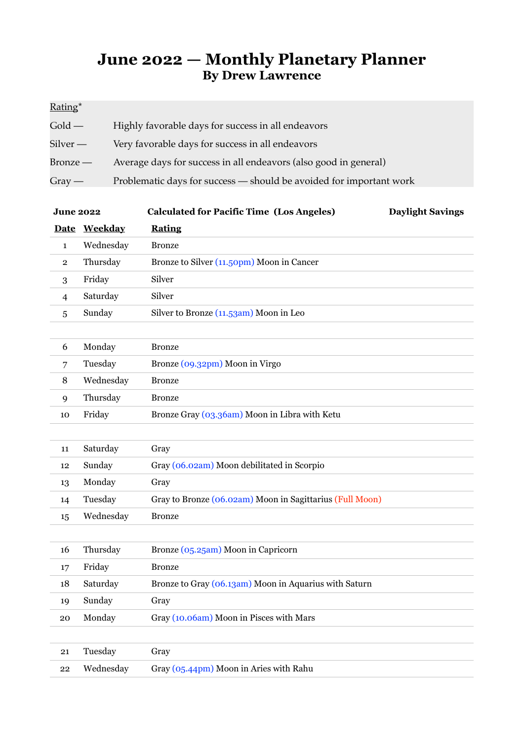## **June 2022 — Monthly Planetary Planner By Drew Lawrence**

## Rating\*

| Gold —   | Highly favorable days for success in all endeavors                  |
|----------|---------------------------------------------------------------------|
| Silver — | Very favorable days for success in all endeavors                    |
| Bronze — | Average days for success in all endeavors (also good in general)    |
| $Gray -$ | Problematic days for success — should be avoided for important work |

| <b>June 2022</b> |              | <b>Calculated for Pacific Time (Los Angeles)</b>         | <b>Daylight Savings</b> |
|------------------|--------------|----------------------------------------------------------|-------------------------|
|                  | Date Weekday | <b>Rating</b>                                            |                         |
| $\mathbf{1}$     | Wednesday    | <b>Bronze</b>                                            |                         |
| $\overline{2}$   | Thursday     | Bronze to Silver (11.50pm) Moon in Cancer                |                         |
| 3                | Friday       | Silver                                                   |                         |
| $\overline{4}$   | Saturday     | Silver                                                   |                         |
| 5                | Sunday       | Silver to Bronze (11.53am) Moon in Leo                   |                         |
|                  |              |                                                          |                         |
| 6                | Monday       | <b>Bronze</b>                                            |                         |
| $\overline{7}$   | Tuesday      | Bronze (09.32pm) Moon in Virgo                           |                         |
| 8                | Wednesday    | <b>Bronze</b>                                            |                         |
| 9                | Thursday     | <b>Bronze</b>                                            |                         |
| 10               | Friday       | Bronze Gray (03.36am) Moon in Libra with Ketu            |                         |
|                  |              |                                                          |                         |
| 11               | Saturday     | Gray                                                     |                         |
| 12               | Sunday       | Gray (06.02am) Moon debilitated in Scorpio               |                         |
| 13               | Monday       | Gray                                                     |                         |
| 14               | Tuesday      | Gray to Bronze (06.02am) Moon in Sagittarius (Full Moon) |                         |
| 15               | Wednesday    | <b>Bronze</b>                                            |                         |
|                  |              |                                                          |                         |
| 16               | Thursday     | Bronze (05.25am) Moon in Capricorn                       |                         |
| 17               | Friday       | <b>Bronze</b>                                            |                         |
| 18               | Saturday     | Bronze to Gray (06.13am) Moon in Aquarius with Saturn    |                         |
| 19               | Sunday       | Gray                                                     |                         |
| 20               | Monday       | Gray (10.06am) Moon in Pisces with Mars                  |                         |
|                  |              |                                                          |                         |
| 21               | Tuesday      | Gray                                                     |                         |
| 22               | Wednesday    | Gray (05.44pm) Moon in Aries with Rahu                   |                         |